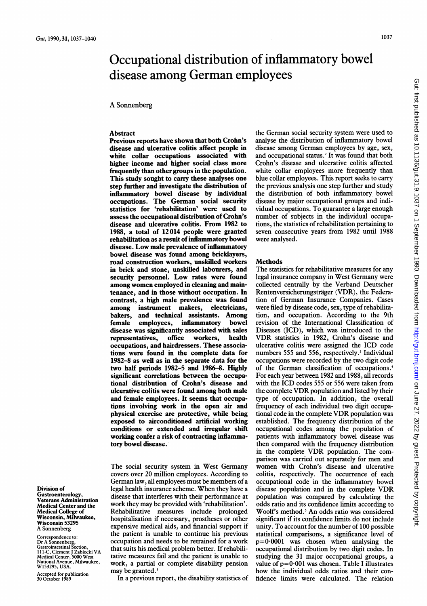# Occupational distribution of inflammatory bowel disease among German employees

A Sonnenberg

## **Abstract**

Previous reports have shown that both Crohn's disease and ulcerative colitis affect people in white collar occupations associated with higher income and higher social class more frequently than other groups in the population. This study sought to carry these analyses one step further and investigate the distribution of inflammatory bowel disease by individual occupations. The German social security statistics for 'rehabilitation' were used to assess the occupational distribution of Crohn's disease and ulcerative colitis. From 1982 to 1988, a total of 12014 people were granted rehabilitation as a result of inflammatory bowel disease. Low male prevalence of inflammatory bowel disease was found among bricklayers, road construction workers, unskilled workers in brick and stone, unskilled labourers, and security personnel. Low rates were found among women employed in cleaning and maintenance, and in those without occupation. In contrast, a high male prevalence was found among instrument makers, electricians, bakers, and technical assistants. Among female employees, inflammatory bowel disease was significantly associated with sales<br>representatives. office workers. health representatives, office workers, occupations, and hairdressers. These associations were found in the complete data for 1982-8 as well as in the separate data for the two half periods 1982-5 and 1986-8. Highly significant correlations between the occupational distribution of Crohn's disease and ulcerative colitis were found among both male and female employees. It seems that occupatipns involving work in the open air and physical exercise are protective, while being exposed to airconditioned artificial working conditions or extended and irregular shift working confer a risk of contracting inflammatory bowel disease.

The social security system in West Germany covers over 20 million employees. According to German law, all employees must be members of a legal health insurance scheme. When they have <sup>a</sup> disease that interferes with their performance at work they may be provided with 'rehabilitation'. Rehabilitative measures include prolonged hospitalisation if necessary, prostheses or other expensive medical aids, and financial support if the patient is unable to continue his previous occupation and needs to be retrained for a work that suits his medical problem better. If rehabilitative measures fail and the patient is unable to work, a partial or complete disability pension may be granted.'

In a previous report, the disability statistics of

the German social security system were used to analyse the distribution of inflammatory bowel disease among German employees by age, sex, and occupational status.<sup>2</sup> It was found that both Crohn's disease and ulcerative colitis affected white collar employees more frequently than blue collar employees. This report seeks to carry the previous analysis one step further and study the distribution of both inflammatory bowel disease by major occupational groups and individual occupations. To guarantee <sup>a</sup> large enough number of subjects in the individual occupations, the statistics of rehabilitation pertaining to seven consecutive years from 1982 until 1988 were analysed.

## **Methods**

The statistics for rehabilitative measures for any legal insurance company in West Germany were collected centrally by the Verband Deutscher Rentenversicherungsträger (VDR), the Federation of German Insurance Companies. Cases were filed by disease code, sex, type of rehabilitation, and occupation. According to the 9th revision of the International Classification of Diseases (ICD), which was introduced to the VDR statistics in 1982, Crohn's disease and ulcerative colitis were assigned the ICD code numbers 555 and 556, respectively.<sup>3</sup> Individual occupations were recorded by the two digit code of the German classification of occupations.4 For each year between 1982 and 1988, all records with the ICD codes 555 or 556 were taken from the complete VDR population and listed by their type of occupation. In addition, the overall frequency of each individual two digit occupational code in the complete VDR population was established. The frequency distribution of the occupational codes among the population of patients with inflammatory bowel disease was then compared with the frequency distribution in the complete VDR population. The comparison was carried out separately for men and women with Crohn's disease and ulcerative colitis, respectively. The occurrence of each occupational code in the inflammatory bowel disease population and in the complete VDR population was compared by calculating the odds ratio and its confidence limits according to Woolf's method.<sup>5</sup> An odds ratio was considered significant if its confidence limits do not include unity. To account for the number of 100 possible statistical comparisons, a significance level of  $p=0.0001$  was chosen when analysing the occupational distribution by two digit codes. In studying the 31 major occupational groups, <sup>a</sup> value of  $p=0.001$  was chosen. Table I illustrates how the individual odds ratios and their confidence limits were calculated. The relation

Division of Gastroenterology, Veterans Administration Medical Center and the Medical College of Wisconsin, Milwaukee, Wisconsin 53295 A Sonnenberg

## Correspondence to: Dr A Sonnenberg, Gastrointestinal Section, 111-C, Clement <sup>J</sup> Zablocki VA Medical Center, 5000 West National Avenue, Milwaukee, W153295, USA.

Accepted for publication 30 October 1989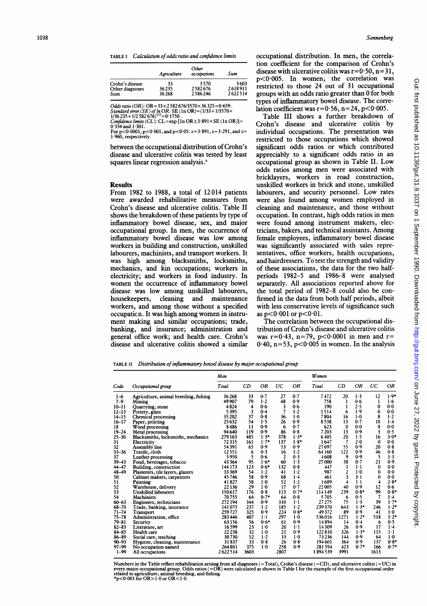TABLE I Calculation of odds ratio and confidence limits

|                 | Agriculture | Other<br>occupations | Sum     |
|-----------------|-------------|----------------------|---------|
| Crohn's disease | 33          | 3570                 | 3603    |
| Other diagnoses | 36235       | 2582676              | 2618911 |
| Sum             | 36268       | 2586246              | 2622514 |

Odds ratio (OR): OR =  $33 \times 2582676/3570 \times 36325 = 0.659$ .

Standard error (SE) of  $\ln$  OR: SE (1n OR)=(1/33+1/3570+<br>1/36 235 + 1/2 582 676)<sup>1/2</sup>=0·1750.

Confidence limits (CL): CL=exp  $[\ln \text{OR} \pm 3.891 \times \text{SE} (\ln \text{OR})] =$ <br>0.334 and 1.301

0:334 and 1:301.<br>For p<0-0001, p<0·001, and p<0·05: z=3·891, z=3·291, and z=<br>1·960, respectively.

between the occupational distribution of Crohn's disease and ulcerative colitis was tested by least squares linear regression analysis.<sup>6</sup>

#### **Results**

From 1982 to 1988, a total of 12014 patients were awarded rehabilitative measures from Crohn's disease and ulcerative colitis. Table II shows the breakdown of these patients by type of inflammatory bowel disease, sex, and major occupational group. In men, the occurrence of inflammatory bowel disease was low among workers in building and construction, unskilled labourers, machinists, and transport workers. It was high among blacksmiths, locksmiths, mechanics, and kin occupations; workers in electricity; and workers in food industry. In women the occurrence of inflammatory bowel disease was low among unskilled labourers, housekeepers, cleaning and maintenance workers, and among those without a specified occupaticn. It was high among women in instrument making and similar occupations; trade, banking, and insurance; administration and general office work; and health care. Crohn's disease and ulcerative colitis showed a similar occupational distribution. In men, the correlation coefficient for the comparison of Crohn's disease with ulcerative colitis was  $r=0.50$ ,  $n=31$ , p<0.005. In women, the correlation was restricted to those 24 out of 31 occupational groups with an odds ratio greater than 0 for both types of inflammatory bowel disease. The correlation coefficient was  $r=0.56$ ,  $n=24$ ,  $p<0.005$ .

Table III shows a further breakdown of Crohn's disease and ulcerative colitis by individual occupations. The presentation was restricted to those occupations which showed significant odds ratios or which contributed appreciably to <sup>a</sup> significant odds ratio in an occupational group as shown in Table II. Low odds ratios among men were associated with bricklayers, workers in road construction, unskilled workers in brick and stone, unskilled labourers, and security personnel. Low rates were also found among women employed in cleaning and maintenance, and those without occupation. In contrast, high odds ratios in men were found among instrument makers, electricians, bakers, and technical assistants. Among female employees, inflammatory bowel disease was significantly associated with sales representatives, office workers, health occupations, and hairdressers. To test the strength and validity of these associations, the data for the two halfperiods 1982-5 and 1986-8 were analysed separately. All associations reported above for the total period of 1982-8 could also be confirmed in the data from both half periods, albeit with less conservative levels of significance such as  $p < 0.001$  or  $p < 0.01$ .

The correlation between the occupational distribution of Crohn's disease and ulcerative colitis was  $r=0.43$ ,  $n=79$ ,  $p<0.0001$  in men and  $r=$  $0.40$ , n=53, p<0.005 in women. In the analysis

TABLE II Distribution of inflammatory bowel disease by major occupational group

|           |                                       | Men     |      |        |      |         | Women   |          |         |          |             |
|-----------|---------------------------------------|---------|------|--------|------|---------|---------|----------|---------|----------|-------------|
| Code      | Occupational group                    | Total   | CD   | ΟR     | UC   | ΟR      | Total   | CD       | ΟR      | UC       | ΟR          |
| $1 - 6$   | Agriculture, animal breeding, fishing | 36268   | 33   | 0.7    | 27   | 0.7     | 7472    | 20       | $1-3$   | 12       | $1.9*$      |
| $7 - 9$   | Mining                                | 49907   | 79   | $1-2$  | 48   | 0.9     | 758     | 1        | 0.6     | 1        | 1.6         |
| $10 - 11$ | Quarrying, stone                      | 4824    | 4    | 0.6    | 3    | 0.6     | 190     | 1        | 2.5     | $\Omega$ | 0.0         |
| $12 - 13$ | Pottery, glass                        | 5395    | 3    | 0.4    | 7    | 1.2     | 1514    | 6        | 1.9     | 0        | 0.0         |
| $14 - 15$ | <b>Chemical processing</b>            | 35 202  | 37   | 0.8    | 36   | 1.0     | 7804    | 16       | $1-0$   | 8        | $1-2$       |
| $16 - 17$ | Paper, printing                       | 25632   | 54   | 1.5    | 26   | 0.9     | 8538    | 13       | 0.7     | 10       | $1 - 4$     |
| 18        | Wood processing                       | 8486    | 11   | 0.9    | 6    | 0.7     | 623     | $\bf{0}$ | 0.0     | 0        | 0.0         |
| $19 - 24$ | Metal processing                      | 94 640  | 119  | 0.9    | 86   | 0.8     | 7203    | 13       | 0.9     | 3        | 0.5         |
| $25 - 30$ | Blacksmiths, locksmiths, mechanics    | 279 163 | 485  | $1.3*$ | 378  | $1.3*$  | 6405    | 20       | 1.5     | 16       | $3.0*$      |
| 31        | Electricity                           | 72315   | 161  | $1.7*$ | 137  | $1.8*$  | 1647    | 7        | 2.0     | $\bf{0}$ | 0.0         |
| 32        | Assembly line                         | 54391   | 65   | 0.9    | 53   | 0.9     | 27697   | 55       | 0.9     | 20       | 0.8         |
| $33 - 36$ | Textile, cloth                        | 12551   | 6    | 0.3    | 16   | $1-2$   | 64 160  | 122      | 0.9     | 46       | 0.8         |
| 37        | Leather processing                    | 5950    | 5    | 0.6    | 2    | 0.3     | 4608    | 9        | 0.9     | 5        | 1.3         |
| $39 - 43$ | Food, beverages, tobacco              | 43364   | 95   | $1.6*$ | 60   | 1.3     | 27000   | 38       | 0.7     | 21       | 0.9         |
| 44-47     | Building, construction                | 144 173 | 123  | $0.6*$ | 132  | 0.8     | 447     |          | $1 - 1$ | 0        | $0-0$       |
| 48-49     | Plasterers, tile layers, glazers      | 33369   | 54   | $1-2$  | 41   | 1.2     | 987     | 2        | 1.0     | 0        | 0.0         |
| 50        | Cabinet makers, carpenters            | 45746   | 58   | 0.9    | 68   | $1 - 4$ | 461     | 3        | 3.1     | 0        | 0.0         |
| 51        | <b>Painting</b>                       | 41827   | 58   | $1-0$  | 52   | 1.2     | 1689    | 4        | $1 - 1$ | 4        | $2.8*$      |
| 52        | Warehouse, delivery                   | 22136   | 29   | 1.0    | 17   | 0.7     | 22005   | 40       | 0.9     | 12       | 0.6         |
| 53        | <b>Unskilled labourers</b>            | 150617  | 176  | 0.8    | 113  | $0.7*$  | 114149  | 239      | $0.8*$  | 99       | $0.8*$      |
| 54        | <b>Machinists</b>                     | 70755   | 64   | $0.7*$ | 64   | 0.8     | 5705    | 6        | 0.5     | 7        | $1 - 4$     |
| $60 - 63$ | Engineers, technicians                | 272 194 | 344  | 0.9    | 310  | $1-1$   | 27 275  | 75       | $1-3$   | 39       | $1.7*$      |
| $68 - 70$ | Trade, banking, insurance             | 141075  | 237  | $1-2$  | 185  | $1-2$   | 239370  | 643      | $1.3*$  | 246      | $1.2*$      |
| $71 - 74$ | Transport                             | 259727  | 325  | 0.9    | 224  | $0.8*$  | 49372   | 89       | 0.9     | 41       | $1-0$       |
| $75 - 78$ | Administration, office                | 283446  | 407  | $1-1$  | 297  | $1-0$   | 536016  | 1271     | $1.2*$  | 518      | $1.2*$      |
| $79 - 81$ | Security                              | 63156   | 56   | $0.6*$ | 61   | 0.9     | 14894   | 14       | 0.4     | 6        | 0.5         |
| $82 - 83$ | Literature, art                       | 16599   | 23   | 1.0    | 20   | 1·1     | 14309   | 26       | 0.9     | 17       | $1 - 4$     |
| $84 - 85$ | Health care                           | 22238   | 32   | $1-0$  | 21   | 0.9     | 122810  | 326      | $1.3*$  | 115      | $1 \cdot 1$ |
| $86 - 89$ | Social care, teaching                 | 30730   | 52   | 1.2    | 33   | $1-0$   | 73236   | 144      | 0.9     | 64       | $1-0$       |
| $90 - 93$ | Hygiene, cleaning, maintenance        | 31837   | 33   | 0.8    | 26   | 0.8     | 194601  | 364      | 0.9     | 137      | $0.8*$      |
| 97-99     | No occupation named                   | 264801  | 375  | $1-0$  | 258  | 0.9     | 281 594 | 423      | $0.7*$  | 166      | $0.7*$      |
| $1 - 99$  | All occupations                       | 2622514 | 3603 |        | 2807 |         | 1894539 | 3991     |         | 1613     |             |

Numbers in the Table reflect rehabilitation arising from all diagnoses (=Total), Crohn's disease (=CD), and ulcerative colitis (=UC) in every major occupational group. Odds ratios (=OR) were calculated as shown in Table I for the example of the first occupational order<br>related to agriculture, animal breeding, and fishing.<br>\*p<0·001 for OR>1·0 or OR<1·0.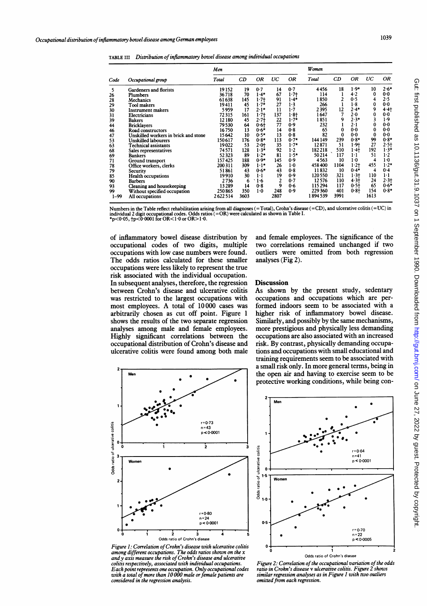TABLE III Distribution of inflammatory bowel disease among individual occupations

| Women<br>Men<br>UC<br>0R<br>UC<br><b>OR</b><br>CD<br><b>OR</b><br>CD<br>OR<br>Total<br>Total<br>Code<br>Occupational group<br>$2.6*$<br>$1.9*$<br>10<br>0.7<br>0.7<br>4456<br>18<br>19152<br>19<br>14<br>5<br>Gardeners and florists<br>67<br>-1<br>4.2<br>0<br>0.0<br>$1.4*$<br>$1 - 7 +$<br>114<br>36718<br>70<br>26<br>Plumbers<br>$\mathbf{2}$<br>91<br>1850<br>0.5<br>4<br>2.5<br>145<br>$1 - 7 +$<br>$1.4*$<br>61638<br>28<br>Mechanics<br>27<br>1.8<br>0<br>0.0<br>$1.7*$<br>1.3<br>266<br>1<br>19411<br>45<br>29<br>Tool makers<br>11<br>9<br>2395<br>12<br>$2.4*$<br>4.4<br>17<br>$2.1*$<br>1.7<br>30<br>5959<br>Instrument makers<br>2.0<br>0<br>0.0<br>137<br>1.8<br>7<br>$1.7+$<br>1647<br>72315<br>161<br>31<br>Electricians<br>9<br>$2.3*$<br>1.9<br>$2.7 +$<br>$\frac{22}{77}$<br>$1.7*$<br>1851<br>3<br>12180<br>45<br>39<br><b>Bakers</b><br>1<br>0.0<br>0.9<br>232<br>$2 \cdot 1$<br>0<br>79530<br>64<br>0.61<br>44<br><b>Bricklayers</b><br>0.0<br>0<br>0.0<br>0<br>14<br>0.8<br>16750<br>13<br>$0.6*$<br>65<br>46<br>Road constructors<br>13<br>82<br>0<br>0.0<br>0<br>0.0<br>10<br>$0.5*$<br>0.8<br>47<br>15642<br>Unskilled workers in brick and stone<br>239<br>99<br>$0.8*$<br>$0.8*$<br>113<br>$0.7*$<br>144 149<br>$0.8*$<br>53<br>150617<br>176<br>Unskilled labourers<br>27<br>$2.5+$<br>$1.7*$<br>51<br>$1.9+$<br>35<br>12871<br>19022<br>53<br>2.01<br>63<br><b>Technical assistants</b> |
|------------------------------------------------------------------------------------------------------------------------------------------------------------------------------------------------------------------------------------------------------------------------------------------------------------------------------------------------------------------------------------------------------------------------------------------------------------------------------------------------------------------------------------------------------------------------------------------------------------------------------------------------------------------------------------------------------------------------------------------------------------------------------------------------------------------------------------------------------------------------------------------------------------------------------------------------------------------------------------------------------------------------------------------------------------------------------------------------------------------------------------------------------------------------------------------------------------------------------------------------------------------------------------------------------------------------------------------------------------------------------------------------------------------------|
|                                                                                                                                                                                                                                                                                                                                                                                                                                                                                                                                                                                                                                                                                                                                                                                                                                                                                                                                                                                                                                                                                                                                                                                                                                                                                                                                                                                                                        |
|                                                                                                                                                                                                                                                                                                                                                                                                                                                                                                                                                                                                                                                                                                                                                                                                                                                                                                                                                                                                                                                                                                                                                                                                                                                                                                                                                                                                                        |
|                                                                                                                                                                                                                                                                                                                                                                                                                                                                                                                                                                                                                                                                                                                                                                                                                                                                                                                                                                                                                                                                                                                                                                                                                                                                                                                                                                                                                        |
|                                                                                                                                                                                                                                                                                                                                                                                                                                                                                                                                                                                                                                                                                                                                                                                                                                                                                                                                                                                                                                                                                                                                                                                                                                                                                                                                                                                                                        |
|                                                                                                                                                                                                                                                                                                                                                                                                                                                                                                                                                                                                                                                                                                                                                                                                                                                                                                                                                                                                                                                                                                                                                                                                                                                                                                                                                                                                                        |
|                                                                                                                                                                                                                                                                                                                                                                                                                                                                                                                                                                                                                                                                                                                                                                                                                                                                                                                                                                                                                                                                                                                                                                                                                                                                                                                                                                                                                        |
| 92<br>192<br>$1.3*$<br>128<br>$1.3*$<br>1.2<br>182218<br>510<br>1.4<br>74571<br>68<br>Sales representatives<br>81<br>117<br>51<br>1.2<br>52323<br>89<br>$1.2$ *<br>$1.5*$<br>50214<br>$1-1$                                                                                                                                                                                                                                                                                                                                                                                                                                                                                                                                                                                                                                                                                                                                                                                                                                                                                                                                                                                                                                                                                                                                                                                                                            |
| 69<br><b>Bankers</b><br>$1-0$<br>157425<br>188<br>$0.9*$<br>145<br>0.9<br>4563<br>10<br>$1-0$<br>4<br>71<br>Ground transport<br>$1 - 2 +$<br>455<br>$1.2*$<br>$1.1*$<br>26<br>$1-0$<br>458400<br>1104<br>200 311<br>309<br>78<br>Office workers, clerks                                                                                                                                                                                                                                                                                                                                                                                                                                                                                                                                                                                                                                                                                                                                                                                                                                                                                                                                                                                                                                                                                                                                                                |
| $0.4*$<br>0.4<br>$0.6*$<br>43<br>0.8<br>11832<br>-10<br>4<br>43<br>79<br>51861<br>Security<br>110<br>19<br>120550<br>321<br>$1.3+$<br>1·1<br>85<br>19910<br>30<br>$1-1$<br>0.9<br><b>Health occupations</b><br>$4.3+$<br>$2.3 +$<br>12576<br>110<br>24<br>6<br>1.6<br>$\mathbf{2}$<br>0.7                                                                                                                                                                                                                                                                                                                                                                                                                                                                                                                                                                                                                                                                                                                                                                                                                                                                                                                                                                                                                                                                                                                              |
| 2736<br>90<br><b>Barbers</b><br>65<br>$0.6*$<br>9<br>117<br>$0.5 +$<br>14<br>0.8<br>0.6<br>115 294<br>93<br>13289<br>Cleaning and housekeeping<br>$0.8*$<br>248<br>229 360<br>401<br>$0.8 +$<br>154<br>99<br>250865<br>350<br>$1-0$<br>0.9<br>Without specified occupation                                                                                                                                                                                                                                                                                                                                                                                                                                                                                                                                                                                                                                                                                                                                                                                                                                                                                                                                                                                                                                                                                                                                             |
| risk associated with the individual occupation.<br><b>Discussion</b><br>In subsequent analyses, therefore, the regression<br>As shown by the present study, sedentary<br>between Crohn's disease and ulcerative colitis<br>occupations and occupations which are per-<br>was restricted to the largest occupations with<br>formed indoors seem to be associated with a<br>most employees. A total of 10000 cases was<br>higher risk of inflammatory bowel disease.<br>arbitrarily chosen as cut off point. Figure 1<br>Similarly, and possibly by the same mechanisms,<br>shows the results of the two separate regression<br>more prestigious and physically less demanding<br>analyses among male and female employees.<br>occupations are also associated with an increased<br>Highly significant correlations between the<br>risk. By contrast, physically demanding occupa-<br>occupational distribution of Crohn's disease and<br>tions and occupations with small educational and<br>ulcerative colitis were found among both male                                                                                                                                                                                                                                                                                                                                                                              |
| training requirements seem to be associated with<br>a small risk only. In more general terms, being in<br>the open air and having to exercise seem to be<br>Men<br>protective working conditions, while being con-                                                                                                                                                                                                                                                                                                                                                                                                                                                                                                                                                                                                                                                                                                                                                                                                                                                                                                                                                                                                                                                                                                                                                                                                     |
| Men                                                                                                                                                                                                                                                                                                                                                                                                                                                                                                                                                                                                                                                                                                                                                                                                                                                                                                                                                                                                                                                                                                                                                                                                                                                                                                                                                                                                                    |
| $r = 0.73$<br>$n = 43$                                                                                                                                                                                                                                                                                                                                                                                                                                                                                                                                                                                                                                                                                                                                                                                                                                                                                                                                                                                                                                                                                                                                                                                                                                                                                                                                                                                                 |
| Odds ratio of ulcerative colitis<br>p < 0.0001                                                                                                                                                                                                                                                                                                                                                                                                                                                                                                                                                                                                                                                                                                                                                                                                                                                                                                                                                                                                                                                                                                                                                                                                                                                                                                                                                                         |
| o<br>$\overline{2}$<br>$r = 0.64$<br>$n = 41$<br>3                                                                                                                                                                                                                                                                                                                                                                                                                                                                                                                                                                                                                                                                                                                                                                                                                                                                                                                                                                                                                                                                                                                                                                                                                                                                                                                                                                     |
| Odds ratio of ulcerative colitis<br>p < 0.0001<br>Women                                                                                                                                                                                                                                                                                                                                                                                                                                                                                                                                                                                                                                                                                                                                                                                                                                                                                                                                                                                                                                                                                                                                                                                                                                                                                                                                                                |
| 1.5<br>Women<br>2.                                                                                                                                                                                                                                                                                                                                                                                                                                                                                                                                                                                                                                                                                                                                                                                                                                                                                                                                                                                                                                                                                                                                                                                                                                                                                                                                                                                                     |
|                                                                                                                                                                                                                                                                                                                                                                                                                                                                                                                                                                                                                                                                                                                                                                                                                                                                                                                                                                                                                                                                                                                                                                                                                                                                                                                                                                                                                        |
| $1-0$                                                                                                                                                                                                                                                                                                                                                                                                                                                                                                                                                                                                                                                                                                                                                                                                                                                                                                                                                                                                                                                                                                                                                                                                                                                                                                                                                                                                                  |
| r=0-80<br>$n = 24$                                                                                                                                                                                                                                                                                                                                                                                                                                                                                                                                                                                                                                                                                                                                                                                                                                                                                                                                                                                                                                                                                                                                                                                                                                                                                                                                                                                                     |
| $0 - 5$<br>p < 0.0001<br>$r = 0.70$                                                                                                                                                                                                                                                                                                                                                                                                                                                                                                                                                                                                                                                                                                                                                                                                                                                                                                                                                                                                                                                                                                                                                                                                                                                                                                                                                                                    |
| $\mathbf 0$<br>$\mathbf{z}$<br>з<br>5<br>n = 22<br>Odds ratio of Crohn's disease<br>p < 0.0005                                                                                                                                                                                                                                                                                                                                                                                                                                                                                                                                                                                                                                                                                                                                                                                                                                                                                                                                                                                                                                                                                                                                                                                                                                                                                                                         |
|                                                                                                                                                                                                                                                                                                                                                                                                                                                                                                                                                                                                                                                                                                                                                                                                                                                                                                                                                                                                                                                                                                                                                                                                                                                                                                                                                                                                                        |
| Figure 1: Correlation of Crohn's disease with ulcerative colitis<br>0.<br>among different occupations. The odds ratios shown on the $x$                                                                                                                                                                                                                                                                                                                                                                                                                                                                                                                                                                                                                                                                                                                                                                                                                                                                                                                                                                                                                                                                                                                                                                                                                                                                                |

### **Discussion**



Figure 1: Correlation of Crohn's disease with ulcerative colitis among different occupations. The odds ratios shown on the x and y axis measure the risk of Crohn's disease and ulcerative colitis respectively, associated with individual occupations. Each point represents one occupation. Only occupational codes with a total ofmore than 10 000 male orfemale patients are considered in the regression analysis.



Figure 2: Correlation of the occupational variation of the odds ratio in Crohn's disease v ulcerative colitis. Figure 2 shows similar regression analyses as in Figure <sup>I</sup> with two outliers omitted from each regression.